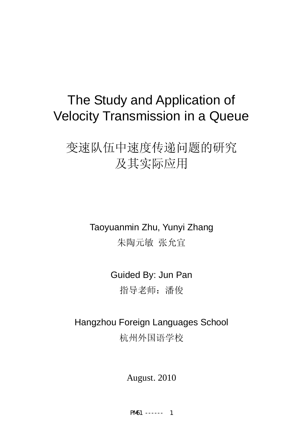# The Study and Application of Velocity Transmission in a Queue

# 变速队伍中速度传递问题的研究 及其实际应用

Taoyuanmin Zhu, Yunyi Zhang 朱陶元敏 张允宜

> Guided By: Jun Pan 指导老师:潘俊

Hangzhou Foreign Languages School 杭州外国语学校

August. 2010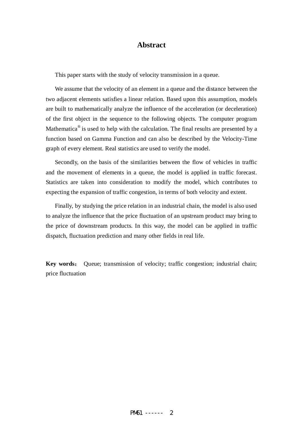#### **Abstract**

This paper starts with the study of velocity transmission in a queue.

We assume that the velocity of an element in a queue and the distance between the two adjacent elements satisfies a linear relation. Based upon this assumption, models are built to mathematically analyze the influence of the acceleration (or deceleration) of the first object in the sequence to the following objects. The computer program Mathematica $\mathscr{B}$  is used to help with the calculation. The final results are presented by a function based on Gamma Function and can also be described by the Velocity-Time graph of every element. Real statistics are used to verify the model.

Secondly, on the basis of the similarities between the flow of vehicles in traffic and the movement of elements in a queue, the model is applied in traffic forecast. Statistics are taken into consideration to modify the model, which contributes to expecting the expansion of traffic congestion, in terms of both velocity and extent.

Finally, by studying the price relation in an industrial chain, the model is also used to analyze the influence that the price fluctuation of an upstream product may bring to the price of downstream products. In this way, the model can be applied in traffic dispatch, fluctuation prediction and many other fields in real life.

**Key words**: Queue; transmission of velocity; traffic congestion; industrial chain; price fluctuation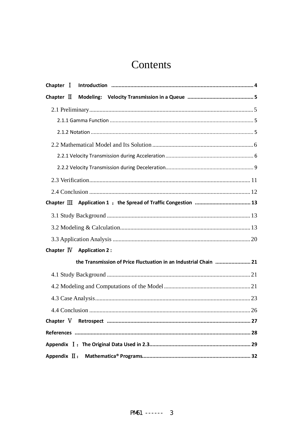# Contents

| Chapter $\mathbb N$ Application 2:                               |  |
|------------------------------------------------------------------|--|
| the Transmission of Price Fluctuation in an Industrial Chain  21 |  |
|                                                                  |  |
|                                                                  |  |
|                                                                  |  |
|                                                                  |  |
| Chapter V                                                        |  |
|                                                                  |  |
|                                                                  |  |
|                                                                  |  |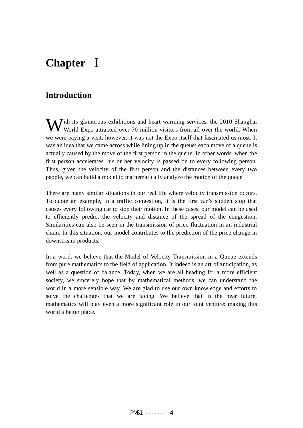# **Chapter** Ⅰ

#### **Introduction**

With its glamorous exhibitions and heart-warming services, the 2010 Shanghai World Expo attracted over 70 million visitors from all over the world. When World Expo attracted over 70 million visitors from all over the world. When we were paying a visit, however, it was not the Expo itself that fascinated us most. It was an idea that we came across while lining up in the queue: each move of a queue is actually caused by the move of the first person in the queue. In other words, when the first person accelerates, his or her velocity is passed on to every following person. Thus, given the velocity of the first person and the distances between every two people, we can build a model to mathematically analyze the motion of the queue.

There are many similar situations in our real life where velocity transmission occurs. To quote an example, in a traffic congestion, it is the first car's sudden stop that causes every following car to stop their motion. In these cases, our model can be used to efficiently predict the velocity and distance of the spread of the congestion. Similarities can also be seen in the transmission of price fluctuation in an industrial chain. In this situation, our model contributes to the prediction of the price change in downstream products.

In a word, we believe that the Model of Velocity Transmission in a Queue extends from pure mathematics to the field of application. It indeed is an art of anticipation, as well as a question of balance. Today, when we are all heading for a more efficient society, we sincerely hope that by mathematical methods, we can understand the world in a more sensible way. We are glad to use our own knowledge and efforts to solve the challenges that we are facing. We believe that in the near future, mathematics will play even a more significant role in our joint venture: making this world a better place.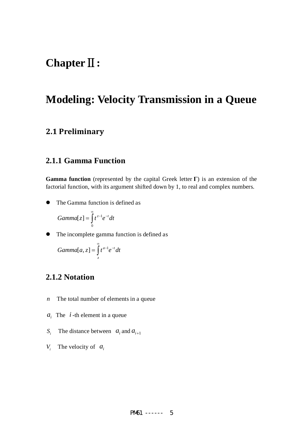### **Chapter**Ⅱ**:**

# **Modeling: Velocity Transmission in a Queue**

#### **2.1 Preliminary**

#### **2.1.1 Gamma Function**

**Gamma function** (represented by the capital Greek letter **Γ**) is an extension of the factorial function, with its argument shifted down by 1, to real and complex numbers.

• The Gamma function is defined as

$$
Gamma[z] = \int_{0}^{\infty} t^{z-1} e^{-t} dt
$$

• The incomplete gamma function is defined as

$$
Gamma[a, z] = \int_{z}^{\infty} t^{a-1} e^{-t} dt
$$

#### **2.1.2 Notation**

- *n* The total number of elements in a queue
- $a_i$  The  $i$ -th element in a queue
- *S<sub>i</sub>* The distance between  $a_i$  and  $a_{i+1}$
- *V<sub>i</sub>* The velocity of  $a_i$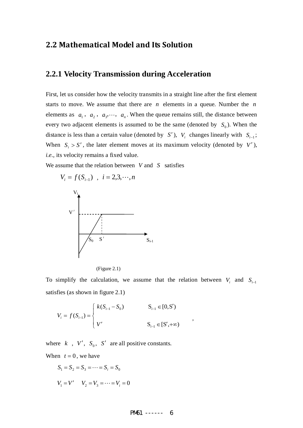#### **2.2 Mathematical Model and Its Solution**

#### **2.2.1 Velocity Transmission during Acceleration**

First, let us consider how the velocity transmits in a straight line after the first element starts to move. We assume that there are *n* elements in a queue. Number the *n* elements as  $a_1$ ,  $a_2$ ,  $a_3$ ,  $\cdots$ ,  $a_n$ . When the queue remains still, the distance between every two adjacent elements is assumed to be the same (denoted by  $S_0$ ). When the distance is less than a certain value (denoted by *S'*),  $V_i$  changes linearly with  $S_{i-1}$ ; When  $S_i > S'$ , the later element moves at its maximum velocity (denoted by *V'*), *i.e.*, its velocity remains a fixed value.

We assume that the relation between *V* and *S* satisfies





To simplify the calculation, we assume that the relation between  $V_i$  and  $S_{i-1}$ satisfies (as shown in figure 2.1)

$$
V_{i} = f(S_{i-1}) = \begin{cases} k(S_{i-1} - S_{0}) & S_{i-1} \in [0, S') \\ V' & S_{i-1} \in [S', +\infty) \end{cases}
$$

where  $k$ ,  $V'$ ,  $S_0$ ,  $S'$  are all positive constants. When  $t = 0$ , we have

$$
S_1 = S_2 = S_3 = \dots = S_i = S_0
$$
  
 $V_1 = V'$   $V_2 = V_3 = \dots = V_i = 0$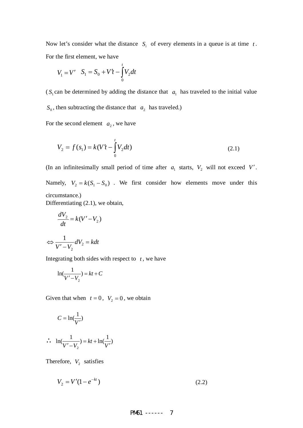Now let's consider what the distance  $S_i$  of every elements in a queue is at time  $t$ . For the first element, we have

$$
V_1 = V' \quad S_1 = S_0 + V't - \int_0^t V_2 dt
$$

( $S_1$  can be determined by adding the distance that  $a_1$  has traveled to the initial value  $S_0$ , then subtracting the distance that  $a_2$  has traveled.)

For the second element  $a_2$ , we have

$$
V_2 = f(s_1) = k(V't - \int_0^t V_2 dt)
$$
\n(2.1)

(In an infinitesimally small period of time after  $a_1$  starts,  $V_2$  will not exceed V'. Namely,  $V_2 = k(S_1 - S_0)$ . We first consider how elements move under this circumstance.) Differentiating (2.1), we obtain,

 $\frac{2}{N} = k(V'-V_2)$ *dt*  $\frac{dV_2}{dt} = k(V' -$ 

$$
\Leftrightarrow \frac{1}{V'-V_2}dV_2 = kdt
$$

Integrating both sides with respect to  $t$ , we have

$$
\ln(\frac{1}{V'-V_2}) = kt + C
$$

Given that when  $t = 0$ ,  $V_2 = 0$ , we obtain

 $\begin{array}{ccc} \n\sqrt{2} & & \n\end{array}$   $V$ 

$$
C = \ln(\frac{1}{V'})
$$
  

$$
\therefore \quad \ln(\frac{1}{V'-V_2}) = kt + \ln(\frac{1}{V'})
$$

Therefore,  $V_2$  satisfies

 $V_2 = V'(1 - e^{-kt})$  (2.2)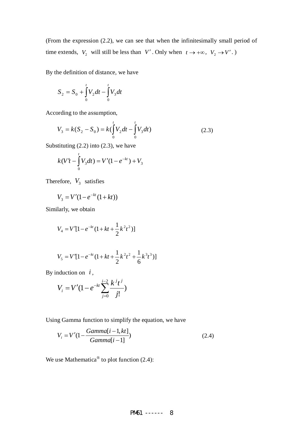(From the expression (2.2), we can see that when the infinitesimally small period of time extends,  $V_2$  will still be less than  $V'$ . Only when  $t \to +\infty$ ,  $V_2 \to V'$ .)

By the definition of distance, we have

$$
S_2 = S_0 + \int_0^t V_2 dt - \int_0^t V_3 dt
$$

According to the assumption,

$$
V_3 = k(S_2 - S_0) = k(\int_0^t V_2 dt - \int_0^t V_3 dt)
$$
 (2.3)

Substituting  $(2.2)$  into  $(2.3)$ , we have

$$
k(V't - \int_{0}^{t} V_3 dt) = V'(1 - e^{-kt}) + V_3
$$

Therefore,  $V_3$  satisfies

$$
V_3 = V'(1 - e^{-kt}(1 + kt))
$$

Similarly, we obtain

$$
V_4 = V'[1 - e^{-kt}(1 + kt + \frac{1}{2}k^2t^2)]
$$

$$
V_5 = V'[1 - e^{-kt}(1 + kt + \frac{1}{2}k^2t^2 + \frac{1}{6}k^3t^3)]
$$

By induction on *i* ,

$$
V_i = V'(1 - e^{-kt} \sum_{j=0}^{i-2} \frac{k^j t^j}{j!})
$$

Using Gamma function to simplify the equation, we have

$$
V_i = V'(1 - \frac{Gamma[i-1,kt]}{Gamma[i-1]})
$$
\n(2.4)

We use Mathematica<sup>®</sup> to plot function  $(2.4)$ :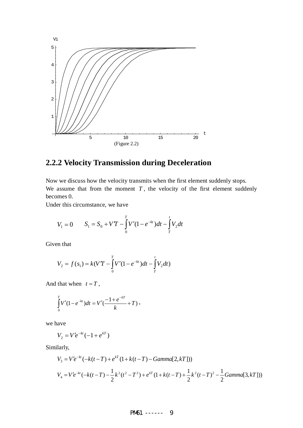

### **2.2.2 Velocity Transmission during Deceleration**

Now we discuss how the velocity transmits when the first element suddenly stops. We assume that from the moment  $T$ , the velocity of the first element suddenly becomes 0.

Under this circumstance, we have

$$
V_1 = 0 \t S_1 = S_0 + VT - \int_0^T V'(1 - e^{-kt})dt - \int_T^t V_2 dt
$$

Given that

$$
V_2 = f(s_1) = k(VT - \int_0^T V'(1 - e^{-kt})dt - \int_T^t V_2 dt)
$$

And that when  $t = T$ ,

$$
\int_{0}^{T} V'(1-e^{-kt})dt = V'\left(\frac{-1+e^{-kT}}{k}+T\right),
$$

we have

$$
V_2 = V'e^{-kt}(-1+e^{kT})
$$

Similarly,

$$
V_3 = V'e^{-kt}(-k(t-T) + e^{kT}(1 + k(t-T) - Gamma[2, kT]))
$$
  
\n
$$
V_4 = Ve^{-kt}(-k(t-T) - \frac{1}{2}k^2(t^2 - T^2) + e^{kT}(1 + k(t-T) + \frac{1}{2}k^2(t-T)^2 - \frac{1}{2}Gamma[3, kT]))
$$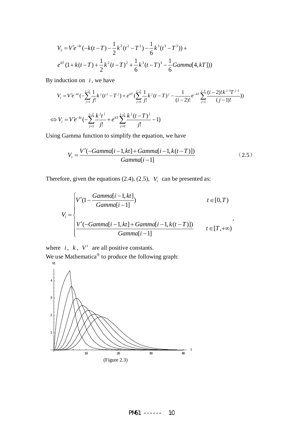$$
V_5 = V'e^{-kt}(-k(t-T) - \frac{1}{2}k^2(t^2 - T^2) - \frac{1}{6}k^3(t^3 - T^3)) +
$$
  

$$
e^{kT}(1 + k(t-T) + \frac{1}{2}k^2(t-T)^2 + \frac{1}{6}k^3(t-T)^3 - \frac{1}{6}Gamma[4, kT])
$$

By induction on  $i$ , we have

$$
V_i = V'e^{-kt}(-\sum_{j=1}^{i-2} \frac{1}{j!} k^j (t^j - T^j) + e^{kT} (\sum_{j=0}^{i-2} \frac{1}{j!} k^j (t - T)^j - \frac{1}{(i-2)!} e^{-kT} \sum_{j=1}^{i-1} \frac{(i-2)! k^{j-1} T^{j-1}}{(j-1)!})
$$
  

$$
\Leftrightarrow V_i = V'e^{-kt}(-\sum_{j=1}^{i-2} \frac{k^j t^j}{j!} + e^{kT} \sum_{j=0}^{i-2} \frac{k^j (t - T)^j}{j!} - 1)
$$

Using Gamma function to simplify the equation, we have

$$
V_i = \frac{V'(-Gamma[i-1,kt] + Gamma[i-1, k(t-T)])}{Gamma[i-1]}
$$
 (2.5)

Therefore, given the equations (2.4), (2.5),  $V_i$  can be presented as:

$$
V_{i} = \begin{cases} V'(1 - \frac{Gamma[i-1,kt]}{Gamma[i-1]}) & t \in [0,T) \\ V'(-Gamma[i-1,kt] + Gamma[i-1, k(t-T)]) & t \in [T,+\infty) \\ \frac{V'(-Gamma[i-1,kt] + Gamma[i-1, k(t-T)])}{Gamma[i-1]} & t \in [T,+\infty) \end{cases}
$$

where  $i, k, V'$  are all positive constants.

We use Mathematica<sup>®</sup> to produce the following graph:

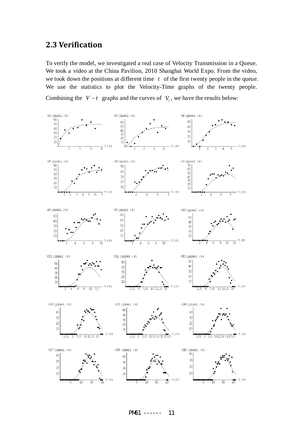#### **2.3 Verification**

To verify the model, we investigated a real case of Velocity Transmission in a Queue. We took a video at the China Pavilion, 2010 Shanghai World Expo. From the video, we took down the positions at different time *t* of the first twenty people in the queue. We use the statistics to plot the Velocity-Time graphs of the twenty people.

Combining the  $V - t$  graphs and the curves of  $V_i$ , we have the results below:



PM61 ------ 11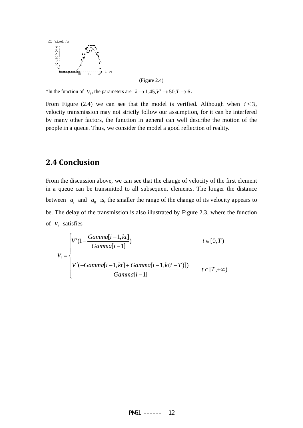

(Figure 2.4)

\*In the function of *V<sub>i</sub>*, the parameters are  $k \rightarrow 1.45, V' \rightarrow 50, T \rightarrow 6$ .

From Figure (2.4) we can see that the model is verified. Although when  $i \leq 3$ , velocity transmission may not strictly follow our assumption, for it can be interfered by many other factors, the function in general can well describe the motion of the people in a queue. Thus, we consider the model a good reflection of reality.

#### **2.4 Conclusion**

From the discussion above, we can see that the change of velocity of the first element in a queue can be transmitted to all subsequent elements. The longer the distance between  $a_i$  and  $a_0$  is, the smaller the range of the change of its velocity appears to be. The delay of the transmission is also illustrated by Figure 2.3, where the function of *Vi* satisfies

$$
V_{i} = \begin{cases} V'(1 - \frac{Gamma[i-1,kt]}{Gamma[i-1]}) & t \in [0,T) \\ V'(-Gamma[i-1,kt] + Gamma[i-1, k(t-T)]) & t \in [T,+\infty) \\ \frac{V'(-Gamma[i-1,kt] + Gamma[i-1, k(t-T)])}{Gamma[i-1]} & t \in [T,+\infty) \end{cases}
$$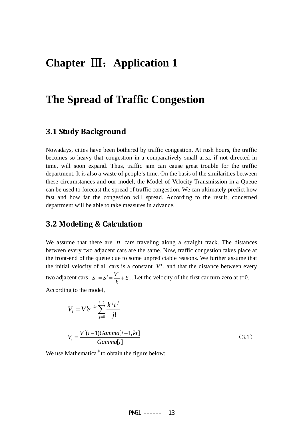### **Chapter** Ⅲ:**Application 1**

### **The Spread of Traffic Congestion**

#### **3.1 Study Background**

Nowadays, cities have been bothered by traffic congestion. At rush hours, the traffic becomes so heavy that congestion in a comparatively small area, if not directed in time, will soon expand. Thus, traffic jam can cause great trouble for the traffic department. It is also a waste of people's time. On the basis of the similarities between these circumstances and our model, the Model of Velocity Transmission in a Queue can be used to forecast the spread of traffic congestion. We can ultimately predict how fast and how far the congestion will spread. According to the result, concerned department will be able to take measures in advance.

#### **3.2 Modeling & Calculation**

We assume that there are  $n$  cars traveling along a straight track. The distances between every two adjacent cars are the same. Now, traffic congestion takes place at the front-end of the queue due to some unpredictable reasons. We further assume that the initial velocity of all cars is a constant  $V'$ , and that the distance between every two adjacent cars  $S_i = S' = \frac{V'}{k} + S_0$ . Let the velocity of the first car turn zero at t=0.

According to the model,

$$
V_{i} = V'e^{-kt} \sum_{j=0}^{i-2} \frac{k^{j}t^{j}}{j!}
$$
  

$$
V_{i} = \frac{V'(i-1)Gamma[i-1,kt]}{Gamma[i]}
$$
 (3.1)

We use Mathematica<sup>®</sup> to obtain the figure below: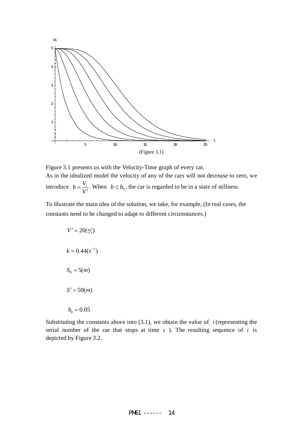

Figure 3.1 presents us with the Velocity-Time graph of every car. As in the idealized model the velocity of any of the cars will not decrease to zero, we introduce *V*  $b = \frac{V_i}{V'}$ . When  $b \le b_0$ , the car is regarded to be in a state of stillness.

To illustrate the main idea of the solution, we take, for example, (In real cases, the constants need to be changed to adapt to different circumstances.)

| $V' = 20\frac{m}{s}$ |
|----------------------|
| $k = 0.44(s^{-1})$   |
| $S_0 = 5(m)$         |
| $S' = 50(m)$         |
| $b_0 = 0.05$         |

Substituting the constants above into  $(3.1)$ , we obtain the value of *i* (representing the serial number of the car that stops at time  $t$ ). The resulting sequence of  $i$  is depicted by Figure 3.2.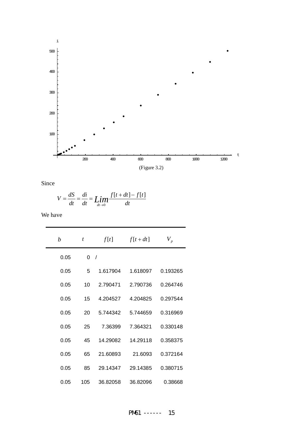

Since

$$
V = \frac{dS}{dt} = \frac{di}{dt} = \lim_{dt \to 0} \frac{f[t+dt] - f[t]}{dt}
$$

We have

| b    | t        | f[t]       | $f[t+dt]$ | $V_{\scriptscriptstyle p}$ |
|------|----------|------------|-----------|----------------------------|
| 0.05 | $\Omega$ | $\sqrt{2}$ |           |                            |
| 0.05 | 5        | 1.617904   | 1.618097  | 0.193265                   |
| 0.05 | 10       | 2.790471   | 2.790736  | 0.264746                   |
| 0.05 | 15       | 4.204527   | 4.204825  | 0.297544                   |
| 0.05 | 20       | 5.744342   | 5.744659  | 0.316969                   |
| 0.05 | 25       | 7.36399    | 7.364321  | 0.330148                   |
| 0.05 | 45       | 14.29082   | 14.29118  | 0.358375                   |
| 0.05 | 65       | 21.60893   | 21.6093   | 0.372164                   |
| 0.05 | 85       | 29.14347   | 29.14385  | 0.380715                   |
| 0.05 | 105      | 36.82058   | 36.82096  | 0.38668                    |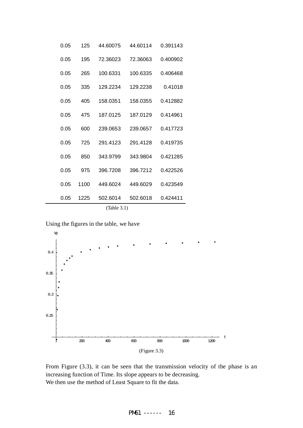| (Table 3.1) |      |          |          |          |  |  |  |
|-------------|------|----------|----------|----------|--|--|--|
| 0.05        | 1225 | 502.6014 | 502.6018 | 0.424411 |  |  |  |
| 0.05        | 1100 | 449.6024 | 449.6029 | 0.423549 |  |  |  |
| 0.05        | 975  | 396.7208 | 396.7212 | 0.422526 |  |  |  |
| 0.05        | 850  | 343.9799 | 343.9804 | 0.421285 |  |  |  |
| 0.05        | 725  | 291.4123 | 291.4128 | 0.419735 |  |  |  |
| 0.05        | 600  | 239,0653 | 239.0657 | 0.417723 |  |  |  |
| 0.05        | 475  | 187.0125 | 187.0129 | 0.414961 |  |  |  |
| 0.05        | 405  | 158.0351 | 158.0355 | 0.412882 |  |  |  |
| 0.05        | 335  | 129.2234 | 129.2238 | 0.41018  |  |  |  |
| 0.05        | 265  | 100.6331 | 100.6335 | 0.406468 |  |  |  |
| 0.05        | 195  | 72.36023 | 72.36063 | 0.400902 |  |  |  |
| 0.05        | 125  | 44.60075 | 44.60114 | 0.391143 |  |  |  |

Using the figures in the table, we have



From Figure (3.3), it can be seen that the transmission velocity of the phase is an increasing function of Time. Its slope appears to be decreasing. We then use the method of Least Square to fit the data.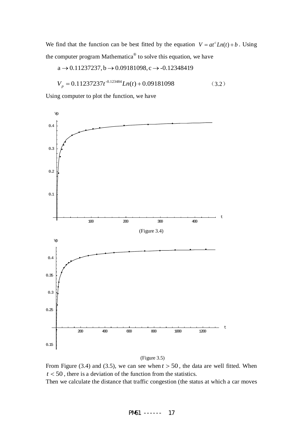We find that the function can be best fitted by the equation  $V = at^c Ln(t) + b$ . Using the computer program Mathematica® to solve this equation, we have

$$
a \rightarrow 0.11237237, b \rightarrow 0.09181098, c \rightarrow -0.12348419
$$

$$
V_p = 0.11237237t^{-0.123484}Ln(t) + 0.09181098
$$
 (3.2)

Using computer to plot the function, we have



(Figure 3.5)

From Figure (3.4) and (3.5), we can see when  $t > 50$ , the data are well fitted. When *t* < 50 , there is a deviation of the function from the statistics.

Then we calculate the distance that traffic congestion (the status at which a car moves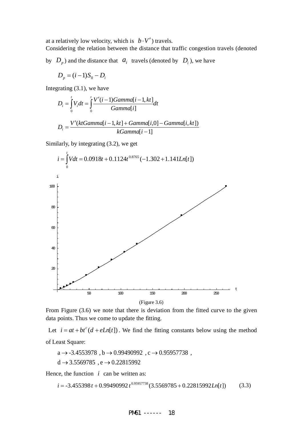at a relatively low velocity, which is  $b \cdot V'$  travels.

Considering the relation between the distance that traffic congestion travels (denoted

by  $D_p$ ) and the distance that  $a_i$  travels (denoted by  $D_i$ ), we have

$$
D_p = (i-1)S_0 - D_i
$$

Integrating (3.1), we have

$$
D_i = \int_0^t V_i dt = \int_0^t \frac{V'(i-1)Gamma[i-1,kt]}{Gamma[i]} dt
$$
  

$$
D_i = \frac{V'(ktGamma[i-1,kt] + Gamma[i,0] - Gamma[i,kt])}{kGamma[i-1]}
$$

Similarly, by integrating (3.2), we get



From Figure (3.6) we note that there is deviation from the fitted curve to the given data points. Thus we come to update the fitting.

Let  $i = at + bt^c(d + eLn[t])$ . We find the fitting constants below using the method of Least Square:

 $d \rightarrow 3.5569785$ , e  $\rightarrow 0.22815992$  $a \rightarrow -3.4553978$ ,  $b \rightarrow 0.99490992$ ,  $c \rightarrow 0.95957738$ ,

Hence, the function  $i$  can be written as:

$$
i = -3.455398t + 0.99490992t^{0.95957738}(3.5569785 + 0.22815992Ln[t])
$$
 (3.3)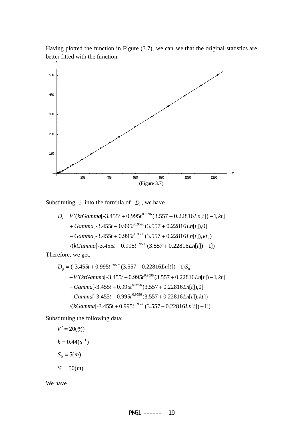Having plotted the function in Figure (3.7), we can see that the original statistics are better fitted with the function.



Substituting *i* into the formula of  $D_i$ , we have

$$
D_i = V'(ktGamma[-3.455t + 0.995t^{0.9596}(3.557 + 0.22816Ln[t]) - 1, kt] + Gamma[-3.455t + 0.995t^{0.9596}(3.557 + 0.22816Ln[t]),0] - Gamma[-3.455t + 0.995t^{0.9596}(3.557 + 0.22816Ln[t]), kt]) /(kGamma[-3.455t + 0.995t^{0.9596}(3.557 + 0.22816Ln[t]) - 1])
$$

Therefore, we get,

$$
D_p = (-3.455t + 0.995t^{0.9596}(3.557 + 0.22816Ln[t]) - 1)S_0
$$
  
\n
$$
-V'(ktGamma[-3.455t + 0.995t^{0.9596}(3.557 + 0.22816Ln[t]) - 1, kt]
$$
  
\n+ Gamma[-3.455t + 0.995t^{0.9596}(3.557 + 0.22816Ln[t]),0]  
\n
$$
-Gamma[-3.455t + 0.995t^{0.9596}(3.557 + 0.22816Ln[t]), kt]
$$
  
\n
$$
/(kGamma[-3.455t + 0.995t^{0.9596}(3.557 + 0.22816Ln[t]) - 1])
$$

Substituting the following data:

$$
V' = 20\binom{m}{s}
$$

$$
k = 0.44(s^{-1})
$$

$$
S_0 = 5(m)
$$

$$
S' = 50(m)
$$

We have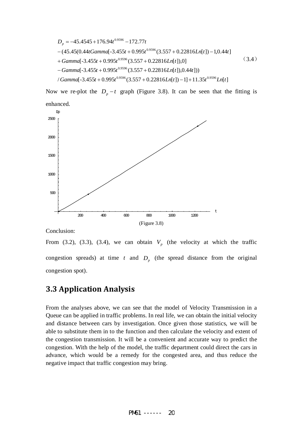$$
D_p = -45.4545 + 176.94t^{0.9596} - 172.77t
$$
  
-(45.45(0.44tGamma-3.455t + 0.995t^{0.9596}(3.557 + 0.22816Ln[t]) - 1,0.44t]  
+ Gamma[-3.455t + 0.995t^{0.9596}(3.557 + 0.22816Ln[t]),0]  
- Gamma[-3.455t + 0.995t^{0.9596}(3.557 + 0.22816Ln[t]),0.44t]))  
/ Gamma[-3.455t + 0.995t^{0.9596}(3.557 + 0.22816Ln[t]) - 1] + 11.35t^{0.9596}Ln[t]

Now we re-plot the  $D_p - t$  graph (Figure 3.8). It can be seen that the fitting is enhanced.



Conclusion:

From (3.2), (3.3), (3.4), we can obtain  $V_p$  (the velocity at which the traffic congestion spreads) at time  $t$  and  $D<sub>p</sub>$  (the spread distance from the original congestion spot).

#### **3.3 Application Analysis**

From the analyses above, we can see that the model of Velocity Transmission in a Queue can be applied in traffic problems. In real life, we can obtain the initial velocity and distance between cars by investigation. Once given those statistics, we will be able to substitute them in to the function and then calculate the velocity and extent of the congestion transmission. It will be a convenient and accurate way to predict the congestion. With the help of the model, the traffic department could direct the cars in advance, which would be a remedy for the congested area, and thus reduce the negative impact that traffic congestion may bring.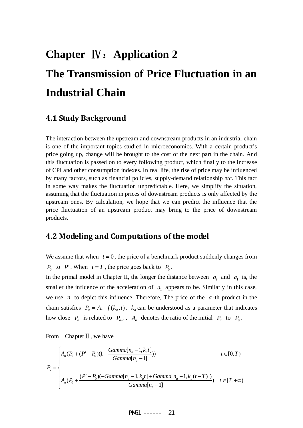# **Chapter** Ⅳ:**Application 2 The Transmission of Price Fluctuation in an Industrial Chain**

#### **4.1 Study Background**

The interaction between the upstream and downstream products in an industrial chain is one of the important topics studied in microeconomics. With a certain product's price going up, change will be brought to the cost of the next part in the chain. And this fluctuation is passed on to every following product, which finally to the increase of CPI and other consumption indexes. In real life, the rise of price may be influenced by many factors, such as financial policies, supply-demand relationship *etc*. This fact in some way makes the fluctuation unpredictable. Here, we simplify the situation, assuming that the fluctuation in prices of downstream products is only affected by the upstream ones. By calculation, we hope that we can predict the influence that the price fluctuation of an upstream product may bring to the price of downstream products.

#### **4.2 Modeling and Computations of the model**

We assume that when  $t = 0$ , the price of a benchmark product suddenly changes from  $P_0$  to *P'*. When  $t = T$ , the price goes back to  $P_0$ .

In the primal model in Chapter II, the longer the distance between  $a_i$  and  $a_i$  is, the smaller the influence of the acceleration of  $a_1$  appears to be. Similarly in this case, we use *n* to depict this influence. Therefore, The price of the *a* -th product in the chain satisfies  $P_a = A_a \cdot f(k_a, t)$ .  $k_a$  can be understood as a parameter that indicates how close  $P_a$  is related to  $P_{a-1}$ .  $A_a$  denotes the ratio of the initial  $P_a$  to  $P_0$ .

From Chapter II, we have

$$
P_a = \begin{cases} A_a (P_0 + (P' - P_0)(1 - \frac{Gamma[n_a - 1, k_a t]}{Gamma[n_a - 1]}) & t \in [0, T) \\ \begin{cases} A_a (P_0 + \frac{(P' - P_0)(-Gamma[n_a - 1, k_a t] + Gamma[n_a - 1, k_a (t - T)])}{Gamma[n_a - 1]} & t \in [T, +\infty) \end{cases} \end{cases}
$$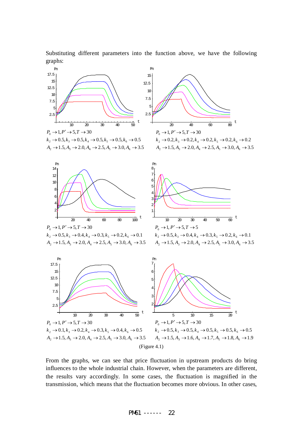Substituting different parameters into the function above, we have the following graphs:



From the graphs, we can see that price fluctuation in upstream products do bring influences to the whole industrial chain. However, when the parameters are different, the results vary accordingly. In some cases, the fluctuation is magnified in the transmission, which means that the fluctuation becomes more obvious. In other cases,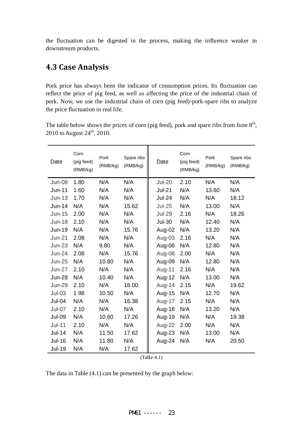the fluctuation can be digested in the process, making the influence weaker in downstream products.

#### **4.3 Case Analysis**

Pork price has always been the indicator of consumption prices. Its fluctuation can reflect the price of pig feed, as well as affecting the price of the industrial chain of pork. Now, we use the industrial chain of corn (pig feed)-pork-spare ribs to analyze the price fluctuation in real life.

The table below shows the prices of corn (pig feed), pork and spare ribs from June  $8<sup>th</sup>$ , 2010 to August  $24^{th}$ , 2010.

| Date          | Corn<br>(pig feed)<br>(RMB/kg) | Pork<br>(RMB/kg) | Spare ribs<br>(RMB/kg) | Date          | Corn<br>(pig feed)<br>(RMB/kg) | Pork<br>(RMB/kg) | Spare ribs<br>(RMB/kg) |
|---------------|--------------------------------|------------------|------------------------|---------------|--------------------------------|------------------|------------------------|
| <b>Jun-08</b> | 1.80                           | N/A              | N/A                    | <b>Jul-20</b> | 2.10                           | N/A              | N/A                    |
| Jun-11        | 1.60                           | N/A              | N/A                    | <b>Jul-21</b> | N/A                            | 13.60            | N/A                    |
| $Jun-13$      | 1.70                           | N/A              | N/A                    | <b>Jul-24</b> | N/A                            | N/A              | 18.12                  |
| $Jun-14$      | N/A                            | N/A              | 15.62                  | <b>Jul-25</b> | N/A                            | 13.00            | N/A                    |
| $Jun-15$      | 2.00                           | N/A              | N/A                    | <b>Jul-29</b> | 2.16                           | N/A              | 18.26                  |
| <b>Jun-18</b> | 2.10                           | N/A              | N/A                    | <b>Jul-30</b> | N/A                            | 12.40            | N/A                    |
| Jun-19        | N/A                            | N/A              | 15.76                  | Aug-02        | N/A                            | 13.20            | N/A                    |
| $Jun-21$      | 2.08                           | N/A              | N/A                    | Aug-03        | 2.16                           | N/A              | N/A                    |
| $Jun-23$      | N/A                            | 9.80             | N/A                    | Aug-06        | N/A                            | 12.80            | N/A                    |
| <b>Jun-24</b> | 2.08                           | N/A              | 15.76                  | Aug-08        | 2.00                           | N/A              | N/A                    |
| <b>Jun-25</b> | N/A                            | 10.80            | N/A                    | Aug-09        | N/A                            | 12.80            | N/A                    |
| Jun-27        | 2.10                           | N/A              | N/A                    | Aug-11        | 2.16                           | N/A              | N/A                    |
| <b>Jun-28</b> | N/A                            | 10.40            | N/A                    | Aug-12        | N/A                            | 13.00            | N/A                    |
| <b>Jun-29</b> | 2.10                           | N/A              | 16.00                  | Aug-14        | 2.15                           | N/A              | 19.62                  |
| $Jul-03$      | 1.98                           | 10.50            | N/A                    | Aug-15        | N/A                            | 12.70            | N/A                    |
| <b>Jul-04</b> | N/A                            | N/A              | 16.38                  | Aug-17        | 2.15                           | N/A              | N/A                    |
| <b>Jul-07</b> | 2.10                           | N/A              | N/A                    | Aug-18        | N/A                            | 13.20            | N/A                    |
| <b>Jul-09</b> | N/A                            | 10.60            | 17.26                  | Aug-19        | N/A                            | N/A              | 19.38                  |
| $Jul-11$      | 2.10                           | N/A              | N/A                    | Aug-22        | 2.00                           | N/A              | N/A                    |
| Jul-14        | N/A                            | 11.50            | 17.62                  | Aug-23        | N/A                            | 13.00            | N/A                    |
| <b>Jul-16</b> | N/A                            | 11.80            | N/A                    | Aug-24        | N/A                            | N/A              | 20.50                  |
| <b>Jul-19</b> | N/A                            | N/A              | 17.62                  |               |                                |                  |                        |

(Table 4.1)

The data in Table (4.1) can be presented by the graph below: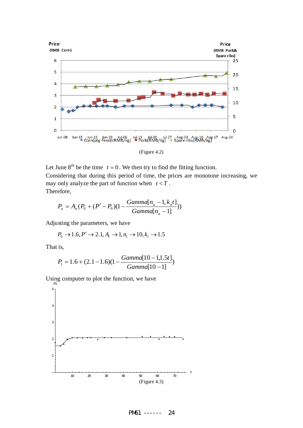

(Figure 4.2)

Let June  $8^{th}$  be the time  $t = 0$ . We then try to find the fitting function. Considering that during this period of time, the prices are monotone increasing, we may only analyze the part of function when  $t < T$ . Therefore,

$$
P_a = A_a (P_0 + (P' - P_0)(1 - \frac{Gamma[n_a - 1, k_a t]}{Gamma[n_a - 1]}))
$$

Adjusting the parameters, we have

$$
P_0 \to 1.6, P' \to 2.1, A_1 \to 1, n_1 \to 10, k_1 \to 1.5
$$

That is,

$$
P_1 = 1.6 + (2.1 - 1.6)(1 - \frac{Gamma[10 - 1, 1.5t]}{Gamma[10 - 1]})
$$

Using computer to plot the function, we have

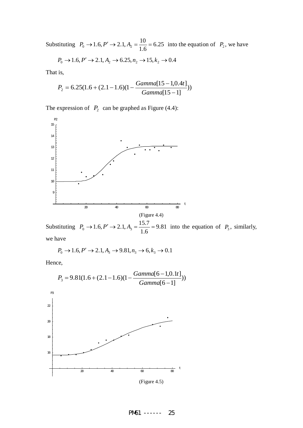Substituting  $P_0 \to 1.6, P' \to 2.1, A_2 = \frac{18}{1.6} = 6.25$ 6.1  $P_0 \to 1.6, P' \to 2.1, A_2 = \frac{10}{1.6} = 6.25$  into the equation of  $P_2$ , we have

$$
P_0 \to 1.6, P' \to 2.1, A_2 \to 6.25, n_2 \to 15, k_2 \to 0.4
$$

That is,

$$
P_2 = 6.25(1.6 + (2.1 - 1.6)(1 - \frac{Gamma[15 - 1, 0.4t]}{Gamma[15 - 1]}))
$$

The expression of  $P_2$  can be graphed as Figure (4.4):



Substituting  $P_0 \to 1.6, P' \to 2.1, A_3 = \frac{15.7}{1.6} = 9.81$  $P_0 \to 1.6, P' \to 2.1, A_3 = \frac{15.7}{1.6} = 9.81$  into the equation of  $P_3$ , similarly, we have

$$
P_0 \to 1.6, P' \to 2.1, A_3 \to 9.81, n_3 \to 6, k_3 \to 0.1
$$

Hence,



PM61 ------ 25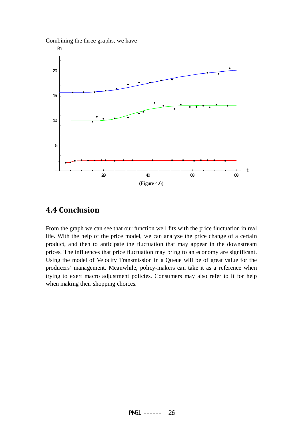



#### **4.4 Conclusion**

From the graph we can see that our function well fits with the price fluctuation in real life. With the help of the price model, we can analyze the price change of a certain product, and then to anticipate the fluctuation that may appear in the downstream prices. The influences that price fluctuation may bring to an economy are significant. Using the model of Velocity Transmission in a Queue will be of great value for the producers' management. Meanwhile, policy-makers can take it as a reference when trying to exert macro adjustment policies. Consumers may also refer to it for help when making their shopping choices.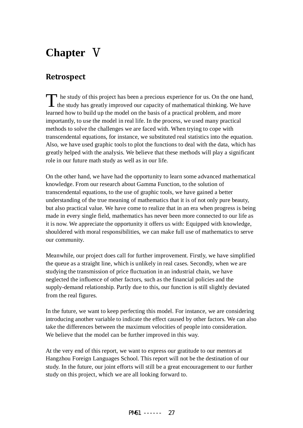# **Chapter** Ⅴ

#### **Retrospect**

he study of this project has been a precious experience for us. On the one hand, The study of this project has been a precious experience for us. On the one hand<br>the study has greatly improved our capacity of mathematical thinking. We have learned how to build up the model on the basis of a practical problem, and more importantly, to use the model in real life. In the process, we used many practical methods to solve the challenges we are faced with. When trying to cope with transcendental equations, for instance, we substituted real statistics into the equation. Also, we have used graphic tools to plot the functions to deal with the data, which has greatly helped with the analysis. We believe that these methods will play a significant role in our future math study as well as in our life.

On the other hand, we have had the opportunity to learn some advanced mathematical knowledge. From our research about Gamma Function, to the solution of transcendental equations, to the use of graphic tools, we have gained a better understanding of the true meaning of mathematics that it is of not only pure beauty, but also practical value. We have come to realize that in an era when progress is being made in every single field, mathematics has never been more connected to our life as it is now. We appreciate the opportunity it offers us with: Equipped with knowledge, shouldered with moral responsibilities, we can make full use of mathematics to serve our community.

Meanwhile, our project does call for further improvement. Firstly, we have simplified the queue as a straight line, which is unlikely in real cases. Secondly, when we are studying the transmission of price fluctuation in an industrial chain, we have neglected the influence of other factors, such as the financial policies and the supply-demand relationship. Partly due to this, our function is still slightly deviated from the real figures.

In the future, we want to keep perfecting this model. For instance, we are considering introducing another variable to indicate the effect caused by other factors. We can also take the differences between the maximum velocities of people into consideration. We believe that the model can be further improved in this way.

At the very end of this report, we want to express our gratitude to our mentors at Hangzhou Foreign Languages School. This report will not be the destination of our study. In the future, our joint efforts will still be a great encouragement to our further study on this project, which we are all looking forward to.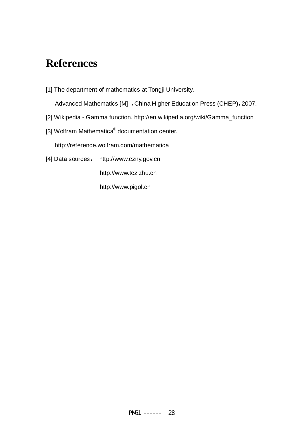# **References**

[1] The department of mathematics at Tongji University.

Advanced Mathematics [M] ,China Higher Education Press (CHEP),2007.

- [2] Wikipedia Gamma function. http://en.wikipedia.org/wiki/Gamma\_function
- [3] Wolfram Mathematica<sup>®</sup> documentation center.

http://reference.wolfram.com/mathematica

[4] Data sources: http://www.czny.gov.cn

http://www.tczizhu.cn

http://www.pigol.cn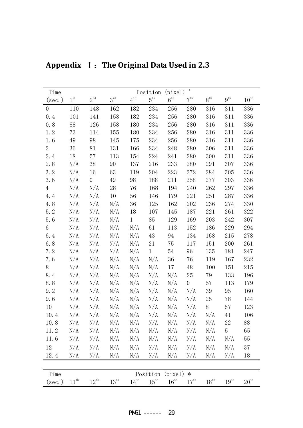| Time             |                |                  |                    |                   | Position           | (pize1)            | $\ast$             |                  |                    |                    |
|------------------|----------------|------------------|--------------------|-------------------|--------------------|--------------------|--------------------|------------------|--------------------|--------------------|
| $(\sec.)$        | $1^{\rm \,st}$ | $2^{\text{nd}}$  | $3^{\text{rd}}$    | $4^{\mathrm{th}}$ | $5^{\mathrm{th}}$  | $6^{\rm th}$       | $7^{\rm th}$       | $8^{\rm th}$     | $9^{\text{th}}$    | $10^{\text{th}}$   |
| $\boldsymbol{0}$ | 110            | 148              | 162                | 182               | 234                | 256                | 280                | 316              | 311                | 336                |
| 0.4              | 101            | 141              | $158\,$            | 182               | 234                | 256                | 280                | 316              | 311                | 336                |
| 0.8              | 88             | 126              | 158                | 180               | 234                | 256                | 280                | 316              | 311                | 336                |
| 1.2              | 73             | 114              | 155                | 180               | 234                | 256                | 280                | 316              | 311                | 336                |
| 1.6              | 49             | 98               | 145                | 175               | 234                | 256                | 280                | 316              | 311                | 336                |
| $\overline{2}$   | 36             | 81               | 131                | 166               | 234                | 248                | 280                | 306              | 311                | 336                |
| 2.4              | 18             | 57               | 113                | 154               | 224                | 241                | 280                | 300              | 311                | 336                |
| 2.8              | N/A            | 38               | 90                 | 137               | 216                | 233                | 280                | 291              | 307                | 336                |
| 3.2              | N/A            | 16               | 63                 | 119               | 204                | 223                | 272                | 284              | 305                | 336                |
| 3.6              | N/A            | $\boldsymbol{0}$ | 49                 | 98                | 188                | 211                | 258                | 277              | 303                | 336                |
| 4                | N/A            | N/A              | 28                 | 76                | 168                | 194                | 240                | 262              | 297                | 336                |
| 4.4              | N/A            | N/A              | 10                 | 56                | 146                | 179                | 221                | 251              | 287                | 336                |
| 4.8              | N/A            | N/A              | N/A                | 36                | 125                | 162                | 202                | 236              | 274                | 330                |
| 5.2              | N/A            | N/A              | N/A                | 18                | 107                | 145                | 187                | 221              | 261                | 322                |
| 5.6              | N/A            | N/A              | N/A                | $\mathbf{1}$      | 85                 | 129                | 169                | 203              | 242                | 307                |
| 6                | N/A            | N/A              | N/A                | N/A               | 61                 | 113                | 152                | 186              | 229                | 294                |
| 6.4              | N/A            | N/A              | N/A                | N/A               | 43                 | 94                 | 134                | 168              | 215                | 278                |
| 6.8              | N/A            | N/A              | N/A                | N/A               | 21                 | 75                 | 117                | 151              | 200                | 261                |
| 7.2              | N/A            | N/A              | N/A                | N/A               | $\mathbf{1}$       | 54                 | 96                 | 135              | 181                | 247                |
| 7.6              | N/A            | N/A              | N/A                | N/A               | N/A                | 36                 | 76                 | 119              | 167                | 232                |
| 8                | N/A            | N/A              | N/A                | N/A               | N/A                | 17                 | 48                 | 100              | 151                | 215                |
| 8.4              | N/A            | N/A              | N/A                | N/A               | N/A                | N/A                | 25                 | 79               | 133                | 196                |
| 8.8              | N/A            | N/A              | N/A                | N/A               | N/A                | N/A                | $\boldsymbol{0}$   | 57               | 113                | 179                |
| 9.2              | N/A            | N/A              | N/A                | N/A               | N/A                | N/A                | N/A                | 39               | 95                 | 160                |
| 9.6              | N/A            | N/A              | N/A                | N/A               | N/A                | N/A                | N/A                | 25               | 78                 | 144                |
| 10               | N/A            | N/A              | N/A                | N/A               | N/A                | N/A                | N/A                | 8                | 57                 | 123                |
| 10.4             | N/A            | N/A              | N/A                | N/A               | N/A                | N/A                | N/A                | N/A              | 41                 | 106                |
| 10.8             | N/A            | N/A              | N/A                | N/A               | N/A                | N/A                | N/A                | N/A              | 22                 | 88                 |
| 11.2             | N/A            | N/A              | N/A                | N/A               | N/A                | N/A                | N/A                | N/A              | 5                  | 65                 |
| 11.6             | N/A            | N/A              | N/A                | N/A               | N/A                | N/A                | N/A                | N/A              | N/A                | 55                 |
| 12               | N/A            | N/A              | N/A                | N/A               | N/A                | N/A                | N/A                | N/A              | N/A                | 37                 |
| 12.4             | N/A            | N/A              | N/A                | N/A               | N/A                | N/A                | N/A                | N/A              | N/A                | 18                 |
|                  |                |                  |                    |                   |                    |                    |                    |                  |                    |                    |
| Time             |                |                  |                    |                   | Position           | (pize1)            | $\ast$             |                  |                    |                    |
| $(\sec.)$        | $11^{\rm th}$  | $12^{\text{th}}$ | $13^{\mathrm{th}}$ | $14^{\text{th}}$  | $15^{\mathrm{th}}$ | $16^{\mathrm{th}}$ | $17^{\mathrm{th}}$ | $18^{\text{th}}$ | $19^{\mathrm{th}}$ | $20^{\mathrm{th}}$ |

**Appendix** Ⅰ:**The Original Data Used in 2.3**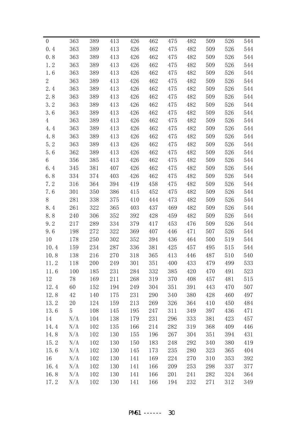| $\theta$       | 363 | 389 | 413 | 426 | 462 | 475 | 482 | 509 | 526 | 544 |
|----------------|-----|-----|-----|-----|-----|-----|-----|-----|-----|-----|
| 0.4            | 363 | 389 | 413 | 426 | 462 | 475 | 482 | 509 | 526 | 544 |
| 0.8            | 363 | 389 | 413 | 426 | 462 | 475 | 482 | 509 | 526 | 544 |
| 1.2            | 363 | 389 | 413 | 426 | 462 | 475 | 482 | 509 | 526 | 544 |
| 1.6            | 363 | 389 | 413 | 426 | 462 | 475 | 482 | 509 | 526 | 544 |
| $\overline{2}$ | 363 | 389 | 413 | 426 | 462 | 475 | 482 | 509 | 526 | 544 |
| 2.4            | 363 | 389 | 413 | 426 | 462 | 475 | 482 | 509 | 526 | 544 |
| 2.8            | 363 | 389 | 413 | 426 | 462 | 475 | 482 | 509 | 526 | 544 |
| 3.2            | 363 | 389 | 413 | 426 | 462 | 475 | 482 | 509 | 526 | 544 |
| 3.6            | 363 | 389 | 413 | 426 | 462 | 475 | 482 | 509 | 526 | 544 |
| 4              | 363 | 389 | 413 | 426 | 462 | 475 | 482 | 509 | 526 | 544 |
| 4.4            | 363 | 389 | 413 | 426 | 462 | 475 | 482 | 509 | 526 | 544 |
| 4.8            | 363 | 389 | 413 | 426 | 462 | 475 | 482 | 509 | 526 | 544 |
| 5.2            | 363 | 389 | 413 | 426 | 462 | 475 | 482 | 509 | 526 | 544 |
| 5.6            | 362 | 389 | 413 | 426 | 462 | 475 | 482 | 509 | 526 | 544 |
| 6              | 356 | 385 | 413 | 426 | 462 | 475 | 482 | 509 | 526 | 544 |
| 6.4            | 345 | 381 | 407 | 426 | 462 | 475 | 482 | 509 | 526 | 544 |
| 6.8            | 334 | 374 | 403 | 426 | 462 | 475 | 482 | 509 | 526 | 544 |
| 7.2            | 316 | 364 | 394 | 419 | 458 | 475 | 482 | 509 | 526 | 544 |
| 7.6            | 301 | 350 | 386 | 415 | 452 | 475 | 482 | 509 | 526 | 544 |
| 8              | 281 | 338 | 375 | 410 | 444 | 473 | 482 | 509 | 526 | 544 |
| 8.4            | 261 | 322 | 365 | 403 | 437 | 469 | 482 | 509 | 526 | 544 |
| 8.8            | 240 | 306 | 352 | 392 | 428 | 459 | 482 | 509 | 526 | 544 |
| 9.2            | 217 | 289 | 334 | 379 | 417 | 453 | 476 | 509 | 526 | 544 |
| 9.6            | 198 | 272 | 322 | 369 | 407 | 446 | 471 | 507 | 526 | 544 |
| 10             | 178 | 250 | 302 | 352 | 394 | 436 | 464 | 500 | 519 | 544 |
| 10.4           | 159 | 234 | 287 | 336 | 381 | 425 | 457 | 495 | 515 | 544 |
| 10.8           | 138 | 216 | 270 | 318 | 365 | 413 | 446 | 487 | 510 | 540 |
| 11.2           | 118 | 200 | 249 | 301 | 351 | 400 | 433 | 479 | 499 | 533 |
| 11.6           | 100 | 185 | 231 | 284 | 332 | 385 | 420 | 470 | 491 | 523 |
| 12             | 78  | 169 | 211 | 268 | 319 | 370 | 408 | 457 | 481 | 515 |
| 12.4           | 60  | 152 | 194 | 249 | 304 | 351 | 391 | 443 | 470 | 507 |
| 12.8           | 42  | 140 | 175 | 231 | 290 | 340 | 380 | 428 | 460 | 497 |
| 13.2           | 20  | 124 | 159 | 213 | 269 | 326 | 364 | 410 | 450 | 484 |
| 13.6           | 5   | 108 | 145 | 195 | 247 | 311 | 349 | 397 | 436 | 471 |
| 14             | N/A | 104 | 138 | 179 | 231 | 296 | 333 | 381 | 423 | 457 |
| 14.4           | N/A | 102 | 135 | 166 | 214 | 282 | 319 | 368 | 409 | 446 |
| 14.8           | N/A | 102 | 130 | 155 | 196 | 267 | 304 | 351 | 394 | 431 |
| 15.2           | N/A | 102 | 130 | 150 | 183 | 248 | 292 | 340 | 380 | 419 |
| 15.6           | N/A | 102 | 130 | 145 | 173 | 235 | 280 | 323 | 365 | 404 |
| 16             | N/A | 102 | 130 | 141 | 169 | 224 | 270 | 310 | 353 | 392 |
| 16.4           | N/A | 102 | 130 | 141 | 166 | 209 | 253 | 298 | 337 | 377 |
| 16.8           | N/A | 102 | 130 | 141 | 166 | 201 | 241 | 282 | 324 | 364 |
| 17.2           | N/A | 102 | 130 | 141 | 166 | 194 | 232 | 271 | 312 | 349 |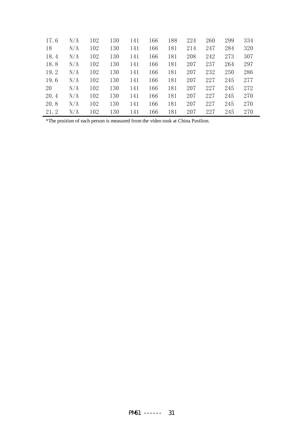| 17.6 | N/A | 102 | 130 | 141 | 166 | 188 | 224 | 260 | 299 | 334 |
|------|-----|-----|-----|-----|-----|-----|-----|-----|-----|-----|
| 18   | N/A | 102 | 130 | 141 | 166 | 181 | 214 | 247 | 284 | 320 |
| 18.4 | N/A | 102 | 130 | 141 | 166 | 181 | 208 | 242 | 273 | 307 |
| 18.8 | N/A | 102 | 130 | 141 | 166 | 181 | 207 | 237 | 264 | 297 |
| 19.2 | N/A | 102 | 130 | 141 | 166 | 181 | 207 | 232 | 250 | 286 |
| 19.6 | N/A | 102 | 130 | 141 | 166 | 181 | 207 | 227 | 245 | 277 |
| 20   | N/A | 102 | 130 | 141 | 166 | 181 | 207 | 227 | 245 | 272 |
| 20.4 | N/A | 102 | 130 | 141 | 166 | 181 | 207 | 227 | 245 | 270 |
| 20.8 | N/A | 102 | 130 | 141 | 166 | 181 | 207 | 227 | 245 | 270 |
| 21.2 | N/A | 102 | 130 | 141 | 166 | 181 | 207 | 227 | 245 | 270 |

\*The position of each person is measured from the video took at China Pavilion.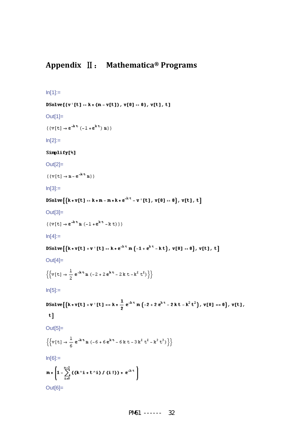```
In[1]:=Out[1]= 
\{\{v[t]\rightarrow e^{-kt}(-1+e^{kt})\ m\}\}In[2] :=\{\,\{\mathtt{v}\, [\, \mathtt{t}\, ] \rightarrow \mathtt{m} - \mathtt{e}^{\neg \mathtt{k}\, \mathtt{t}}\, \mathtt{m}\}\,\}In[3]:=\texttt{D} \texttt{Solve}\big[\big\{k* v[t]:: k* m-m*k*e^{-k't}-v\mid [t],\ v[0]::0\big\},\ v[t],\ t\big]Out[3]= 
\{\{v[t]\rightarrow e^{\text{-k}t}\mathbbm{n}(-1+e^{\text{-k}t}-k\;t)\}\}ln[4]:=
DSolve [{k*v[t]+v'[t]:=k*e^{-k t} m(-1+e^{k t}-kt), v[0]:=0}, v[t], t]Out[4]= 
\left\{\left\{v\,[\,t\,]\to \frac{1}{2}\,\,{\rm e}^{-{\rm i}k\cdot t}\,{\rm m}\,\left(-2+2\,{\rm e}^{{\rm i}k\cdot t}-2\,{\rm k}\,\,t-{\rm k}^2\,\,t^2\right)\,\right\}\right\}ln[5]:=
DSolve [{k \ast v[t] + v' [t]} = k \ast \frac{1}{2} e^{-kt} m (-2 + 2 e^{kt} - 2 kt - k^2 t^2), v[0] = 0}, v[t],t]Out[5]= 
\left\{\left\{v\left[t\right]\to \frac{1}{6}e^{-kt}m\left(-6+6e^{kt}-6kt-3k^{2}t^{2}-k^{3}t^{3}\right)\right\}\right\}In[6]:=
m * \left(1 - \sum_{i=0}^{n-2} ((k^i i * t^i) / (i!))*e^{-kt}\right)Out[6]=
```

```
DSolve[{v'[t] == k * (m - v[t]), v[0] == 0}, v[t], t]
```
**Appendix** Ⅱ: **Mathematica® Programs**

Out[2]=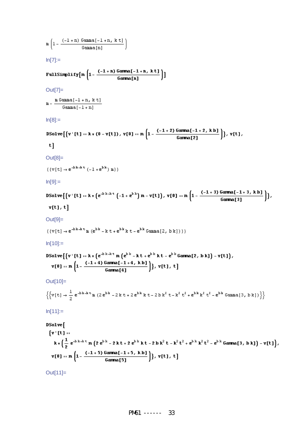Out[11]=

$$
\ln[11]:=\n\text{D}Solve\left[\n\begin{cases}\n\mathbf{v}^{T}[t]: \\
\mathbf{v}^{T}[t]: \\
\mathbf{k}*\left(\frac{1}{2}e^{-b k - k \cdot t} \ln\left(2e^{b k} - 2kt + 2e^{b k} kt - 2bk^{2}t - k^{2}t^{2} + e^{b k} k^{2}t^{2} - e^{b k} Gamma[3, bk]\right) - \mathbf{v}[t]\n\end{cases}\n\right),\n\quad\n\mathbf{v}[0]:=\n\pi\left(1-\frac{(-1+5) Gamma[-1+5, kb]}{Gamma[5]}\right),\n\quad\n\mathbf{v}[t], t]
$$

 $\overline{1}$ r

Out[10]=

$$
\left\{\left\{v\,[\,t\,]\,\rightarrow\,\frac{1}{2}\,\,e^{\,-b\,k\,-k\,t}\,\text{m }(2\,e^{b\,k}\,-2\,k\,t\,+\,2\,e^{b\,k}\,k\,t\,-\,2\,b\,k^2\,t\,-\,k^2\,t^2\,+\,e^{b\,k}\,k^2\,t^2\,-\,e^{b\,k}\,\text{Gamma}\left[3\,,\,b\,k\,\right]\right)\right\}
$$

DSolve[{v'[t] := k \* (e<sup>20.25</sup> m (e<sup>20.26</sup> - kt + e<sup>20.26</sup> kt - e<sup>20.26</sup> Gamma[2, bk]) -  
v[0] == m 
$$
\left(1 - \frac{(-1+4) \text{ Gamma}[-1+4, kb]}{\text{Gamma}[4]}\right)
$$
, v[t], t]

$$
\ln[10] :=
$$
\n
$$
D\text{Solve}[\{v^{\dagger}[t] = k * (e^{-b k - k t} m (e^{b k} - kt + e^{b k} kt - e^{b k} Gamma[2, b k]) - v[t]\},
$$

$$
\{ \forall [t] \to e^{-i\pi/2} \text{ in } (e^{-i\pi} - k t + e^{-i\pi} k t - e^{-i\pi} \text{Gamma}[2, b k]) \} \}
$$
  
In[10]:=

DSolve  $[\{v | [t] = k * (0 - v[t])\}, v[0] = m \left(1 - \frac{(-1 + 2) \text{ Gamma}[-1 + 2, k b]}{\text{Gamma}[2]}\right)\}, v[t],$ 

 $(\text{tr}(t), e^{-bk - kt} \cdot e^{bk} + t + e^{bk} + e^{bk}$ Connel? http://

 $v[t], t]$ 

Out[9]=

```
In[9]:=DSolve [\{v | [t] = k * (e^{-b k - k t} (-1 + e^{b k}) m - v[t])\}, v[0] = m \left(1 - \frac{(-1 + 3) \text{ Gamma}[-1 + 3, k b]}{\text{Gamma}[3]}\right)\},
```

```
Out[8]= 
 \{\,\{\mathtt{v}\, [\, \mathtt{t}\, ] \rightarrow \mathtt{e}^{-b\,\mathtt{k}\, \mathtt{-k}\, \mathtt{t}}\,\, (-1 + \mathtt{e}^{\mathtt{b}\, \mathtt{k}})\,\, \mathtt{m}\}\,\}
```

```
FullSimplify\left[n\left(1-\frac{(-1+n)\text{ Gamma}[-1+n,\ k\ t]}{\text{Gamma}[n]}\right)\right]
```

```
Out[7]=
```

```
\texttt{m}-\frac{\texttt{m Gamma}\left[-1+\texttt{n, k t}\right]}{\texttt{Gamma}\left[-1+\texttt{n}\right]}
```

```
ln[8]:=
```
 $t$ ]

```
ln[7]:=
```

```
\texttt{m}\left(\texttt{l}-\frac{(-\texttt{l}+\texttt{n})\texttt{Gamma}[-\texttt{l}+\texttt{n},\texttt{k}\texttt{t}]}{\texttt{Gamma}[\texttt{n}]}\right)
```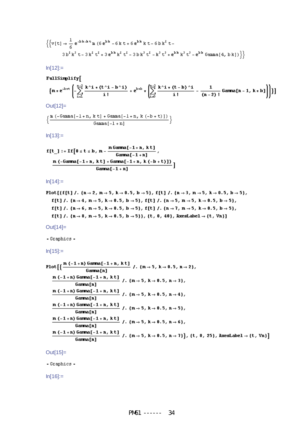$$
\begin{aligned} \left\{ \left\{ v(t) \rightarrow \frac{1}{6} e^{-b\,k-k\,t} \, \text{m} \, \left( 6 \, e^{b\,k} \, - 6 \, k \, t + 6 \, e^{b\,k} \, k \, t - 6 \, b \, k^2 \, t - 6 \, b \, k^2 \, t \right) \right. \\ 3 \, b^2 \, k^3 \, t - 3 \, k^2 \, t^2 + 3 \, e^{b\,k} \, k^2 \, t^2 - 3 \, b \, k^3 \, t^2 - k^3 \, t^3 + e^{b\,k} \, k^2 \, t^2 - e^{b\,k} \, \text{Gamma}(4, b \, k) \right) \right\} \end{aligned}
$$

 $ln[12]:=$ 

$$
{\tt FullSimplify} \big[
$$

$$
\left\{m * e^{-k*t}\left(-\sum_{i=1}^{n-2}\frac{k^{\wedge}i*(t^{\wedge}i-b^{\wedge}i)}{i!}+e^{k*b}*\left(\sum_{i=0}^{n-2}\frac{k^{\wedge}i*(t-b)^{\wedge}i}{i!}-\frac{1}{(n-2)!}\text{ Gamma}[n-1, k*b]\right)\right)\right\}\right\}
$$

Out[12]=

$$
\Big\{\frac{\texttt{m}\ (-\texttt{Gamma}[-1+n,\ k\ t]+\texttt{Gamma}[-1+n,\ k\ (-b+\ t)\ ])}{\texttt{Gamma}[-1+n]}\Big\}
$$

 $In[13] :=$ 

$$
f[t_1 := If [0 \le t \le b, m - \frac{m \text{ Gamma}[-1 + n, kt]}{\text{Gamma}[-1 + n]},
$$
\n
$$
\frac{m (-\text{Gamma}[-1 + n, kt] + \text{Gamma}[-1 + n, k(-b + t)])}{\text{Gamma}[-1 + n, k(-b + t)])}]
$$

 $In[14]:=$ 

Out[14]=

- Graphics -

 $In[15] :=$ 

$$
\begin{array}{l} \text{Plot}\left[\left\{\frac{m(-1+n)\text{ Gamma}[-1+n,\ k\,t\right]}{\text{Gamma}[n]}\right. \left\{n \to 5,\ k \to 0.5,\ n \to 2\right\},\\ \frac{m(-1+n)\text{ Gamma}[-1+n,\ k\,t\,]}{\text{Gamma}[n]} \left\{n \to 5,\ k \to 0.5,\ n \to 3\right\},\\ \frac{m(-1+n)\text{ Gamma}[n]}{\text{Gamma}[n]} \left\{n \to 5,\ k \to 0.5,\ n \to 3\right\},\\ \frac{m(-1+n)\text{ Gamma}[-1+n,\ k\,t\,]}{\text{Gamma}[n]} \left\{n \to 5,\ k \to 0.5,\ n \to 4\right\},\\ \frac{m(-1+n)\text{ Gamma}[-1+n,\ k\,t\,]}{\text{Gamma}[n]} \left\{n \to 5,\ k \to 0.5,\ n \to 5\right\},\\ \frac{m(-1+n)\text{ Gamma}[-1+n,\ k\,t\,]}{\text{Gamma}[n]} \left\{n \to 5,\ k \to 0.5,\ n \to 6\},\\ \frac{m(-1+n)\text{ Gamma}[-1+n,\ k\,t\,]}{\text{Gamma}[n]} \left\{n \to 5,\ k \to 0.5,\ n \to 7\right\},\ \{t,\ 0,\ 25\},\ \text{AxesLabel} \to \{t,\ Vn\}\right] \end{array}
$$

#### Out[15]=

- Graphics -

 $In[16] :=$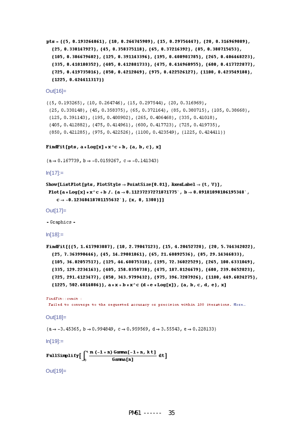```
pts = {{5, 0.193264861}, {10, 0.264745909}, {15, 0.29754447}, {20, 0.316969089},
  {25, 0.330147927}, {45, 0.358375118}, {65, 0.37216392}, {85, 0.380715453},
  {105, 0.386679602}, {125, 0.391143396}, {195, 0.400901785}, {265, 0.406468223},
  {335, 0.410180352}, {405, 0.412881733}, {475, 0.414960955}, {600, 0.417722877},
  {725, 0.419735016}, {850, 0.4212849}, {975, 0.422526127}, {1100, 0.423549188},
  {1225, 0.424411317}
```
Out[16]=

```
({5, 0.193265}, {10, 0.264746}, {15, 0.297544}, {20, 0.316969},(25, 0.330148), (45, 0.358375), (65, 0.372164), (85, 0.380715), (105, 0.38668),
 (125, 0.391143), (195, 0.400902), (265, 0.406468), (335, 0.41018),{405, 0.412882}, {475, 0.414961}, {600, 0.417723}, {725, 0.419735},
 {850, 0.421285}, {975, 0.422526}, {1100, 0.423549}, {1225, 0.424411}}
```
#### FindFit[pts,  $a * Log[x] * x^c + b$ ,  $\{a, b, c\}$ , x]

 ${a \rightarrow 0.167739, b \rightarrow -0.0159267, c \rightarrow -0.141343}$ 

 $In[17]$ :=

```
Show[ListPlot[pts, PlotStyle \rightarrow PointSize[0.01], AxesLabel \rightarrow {t, V}],
```

```
Plot [a * Log[x] * x^c c + b /. (a \rightarrow 0.11237237271871775^{\circ}, b \rightarrow 0.09181098106195348^{\circ},c \rightarrow -0.12348418701155632 }, {x, 0, 1300}]]
```

```
Out[17]=
```
- Graphics -

 $In[18] :=$ 

```
FindFit[{{5, 1.617903887}, {10, 2.79047123}, {15, 4.20452728}, {20, 5.744342022},
  {25, 7.363990446}, {45, 14.29081861}, {65, 21.60892536}, {85, 29.14346833},
  {105, 36.82057517}, {125, 44.60075318}, {195, 72.36022529}, {265, 100.6331049},
  {335, 129.2234163}, {405, 158.0350738}, {475, 187.0124679}, {600, 239.0652823},
  {725, 291.4123477}, {850, 343.9799432}, {975, 396.7207926}, {1100, 449.6024275},
  \{1225, 502.6014086\}, a * x + b * x^c (d + e *Log[x]), \{a, b, c, d, e\}, x]
```

```
FindFit:: cymit :
```
Failed to converge to the requested accuracy or precision within 100 iterations. More...

Out[18]=

 $(a \rightarrow -3.45365, b \rightarrow 0.994849, c \rightarrow 0.959569, d \rightarrow 3.55543, e \rightarrow 0.228133)$ 

 $In[19] :=$ 

FullSimplify $\left[\int_0^{\frac{1}{\lambda}} \frac{m(-1+n) \operatorname{Gamma}[-1+n, k t]}{\operatorname{Gamma}[n]} dt\right]$ 

Out[19]=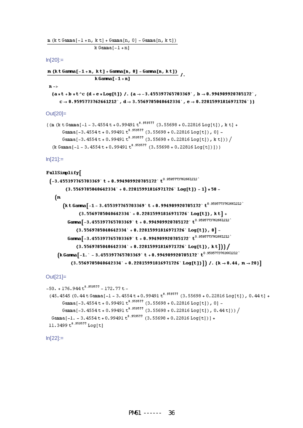```
\verb|m (k t Gamma[-1 + n, k t] + Gamma[n, 0] - Gamma[n, k t])|k Gamma[-1+n]
```
 $ln[20]$ :=

 $\underline{\mathbf{m}}$  (kt Gamma[-1+n, kt] + Gamma[n, 0] - Gamma[n, kt])<br>/ k Gamma $[-1+n]$ 

 $\mathbf{n}$  ->

```
\{a*t+b*t^c (d+e*Log[t]) /. \{a \rightarrow -3.455397765703369^{\circ}, b \rightarrow 0.994909920785172^{\circ},\mathbf{c} \to \mathbf{0}. 9595773762661212`, \mathbf{d} \to 3. 5569785040642334`, \mathbf{e} \to \mathbf{0}. 22815991816971726`}}
```
Out[20]=

```
{(m (k t Gamma[-1 - 3.4554 t + 0.99491 t<sup>0.959577</sup> (3.55698 + 0.22816 Log[t]), k t] +
       Gamma[-3.4554t+0.99491t<sup>0.959577</sup> (3.55698+0.22816Log[t]), 0]-
       Gamma[-3.4554t+0.99491t<sup>0.959577</sup> (3.55698+0.22816Log[t]), kt])) /
  (k Gamma[-1 - 3.4554 t + 0.99491 t^{0.959577} (3.55698 + 0.22816 Log[t])])}
```
 $In [21] :=$ 

#### FullSimplify[

```
(-3.455397765703369) t + 0.994909920785172 t<sup>0.9595773762661212</sub></sup>
       (3.5569785040642334 + 0.22815991816971726) Log[t]) - 1) *50 -
  (m
      \left( k\ t\ \text{Gamma}\left[-1-3,455397765703369^{\circ}\ t+0.994909920785172^{\circ}\ t^{0.9595773762661212^{\circ}\right.\right.(3.5569785040642334 + 0.22815991816971726 \cdot Log[t]), k[t] +Gamma [-3.455397765703369] t + 0.994909920785172 t<sup>0.9595773762661212</sub></sup>
             (3.5569785040642334 + 0.22815991816971726 \cdot Log[t]), 0 -
        Gamma [-3.455397765703369 + 1.994909920785172 + 0.9595773762661212](3.5569785040642334 + 0.22815991816971726 \cdot Log[t]), k[t])(k Gamma [-1, -3, 455397765703369 + 0.994909920785172 + 0.9595773762661212)^2(3.5569785040642334 + 0.22815991816971726 \text{ Log}[t]) /. \{k \rightarrow 0.44, m \rightarrow 20\}
```
Out[21]=

```
-50. + 176.944 t^{0.959577} - 172.77 t -(45.4545 (0.44 t \text{ Gamma}[-1 - 3.4554 t + 0.99491 t^{0.959577} (3.55698 + 0.22816 \text{ Log} [t]), 0.44 t] +Gamma[-3.4554t+0.99491t<sup>0.959577</sup> (3.55698+0.22816Log[t]), 0]-
       Gamma[-3.4554 t + 0.99491 t<sup>0.959577</sup> (3.55698 + 0.22816 Log[t]), 0.44 t])) /
  Gamma[-1. - 3.4554 t + 0.99491 t<sup>0.959577</sup> (3.55698 + 0.22816 Log[t])] +
11.3499 t^{0.959577} Log[t]
```
 $ln[22] :=$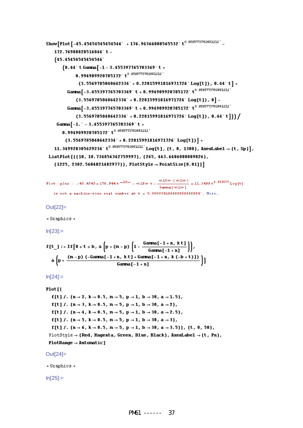```
Show [Plot [-45.45454545454546^{\circ} + 176.94366008565532^{\circ} t^{0.9595773762661212^{\circ}}]172.76988828516846 t-
      (45.45454545454546)
            (0.44 t Gamma[-1 - 3.455397765703369]t +
                     0.994909920785172 \tcdd to 0.9595773762661212 \tcdf \tcdf \tcdf \tcdf \tcdf \tcdf \tcdf \tcdf \tcdf \tcdf \tcdf \tcdf \tcdf \tcdf \tcdf \tcdf \tcdf \tcdf \tcdf \tcdf \tcdf \tcdf \tcdf \tcdf \tcdf \tcdf \tcdf \tcdf \tcdf \
                       ({\bf 3.5569785040642334}^{\top}+{\bf 0.22815991816971726}^{\top}\ \text{Log[t]}\ ,{\bf 0.44}^{\top}{\bf t}\ \text{]}+Gamma [-3.455397765703369^{\circ} t + 0.994909920785172^{\circ} t^{0.9595773762661212}](3.5569785040642334 + 0.22815991816971726 \cdot Log[t]), 0] -Gamma [-3.455397765703369 \degree t + 0.994909920785172 \degree t^{0.9595773762661212} \degree(3.5569785040642334^{\circ} + 0.22815991816971726^{\circ} \text{Log[t]}, 0.44^{\circ} t )) /
       Gamma[-1. -3.455397765703369 +0.994909920785172 \tcdfdd + 0.9595773762661212 \tcdfdd + 10.9595773762661212 \tcdfdd + 10.9595773762661212 \tcdfdd
              (3.5569785040642334 + 0.22815991816971726 \cdot Log[t]) +
      11.349928305629236 \cdot t<sup>0.9595773762661212</sup> \cdot Log[t], {t, 0, 1300}, RxesLabel \rightarrow {t, Sp}],
 ListPlot[{{10, 10.734856342759997}, {265, 463.6486080089826},
      {1225, 2302.5604021482977}}, PlotStyle \rightarrow PointSize[0.01]]]
{\tt Plot: :} \texttt{plnr}: \texttt{-45.4545+175.944}~\texttt{t}^{-\texttt{ul3}\texttt{m}} = \texttt{419} \texttt{m}~\texttt{t} - \frac{\texttt{418} \texttt{m}~\left(\texttt{41}\texttt{m}\right)}{\texttt{Gamma}\left[\texttt{41}\texttt{m}\right]} + 11.3499~\texttt{t}^{0.959577} \text{Log}\left[\texttt{t}\right]is not a machine-size real number at t = 0.000054166666666666664^{\circ}. More...
Out[22]= 
- Graphics -
ln[23]:=
f[t_1 := \texttt{If} \left[\begin{smallmatrix} 0 & \texttt{s} & \texttt{t} & \texttt{s} & \texttt{b} \end{smallmatrix}\right], \text{ a } \left[\begin{smallmatrix} p + (m-p) \end{smallmatrix} \left(\begin{smallmatrix} 1 - \frac{\texttt{Gamma} \left[-1 + n, \ k \, t\right] }{\texttt{Gamma} \left[-1 + n\right]} \end{smallmatrix}\right)\right],a \left(p + \frac{(m - p) (-Gamma[-1 + n, k t] + Gamma[-1 + n, k (-b + t)])}{Gamma[-1 + n]} \right)ln[24]:=
Plot[f[t] /. \{n \to 2, k \to 0.5, m \to 5, p \to 1, b \to 30, a \to 1.5\},
    f[t] /. {n \rightarrow 3, k \rightarrow 0.5, m \rightarrow 5, p \rightarrow 1, b \rightarrow 30, a \rightarrow 2},
    f[t] /. {n \to 4, k \to 0.5, m \to 5, p \to 1, b \to 30, a \to 2.5},
    f[t] /. \{n \rightarrow 5, k \rightarrow 0.5, m \rightarrow 5, p \rightarrow 1, b \rightarrow 30, a \rightarrow 3\},
    f[t] /. \{n \to 6, k \to 0.5, m \to 5, p \to 1, b \to 30, a \to 3.5\}, \{t, 0, 50\},
  PlotStyle \rightarrow {Red, Magnetic, Green, Blue, Black}, AxesLabel \rightarrow {t, Ph},PlotRange \rightarrow Automatic]
Out[24]= 
- Graphics -
ln[25]:=
```